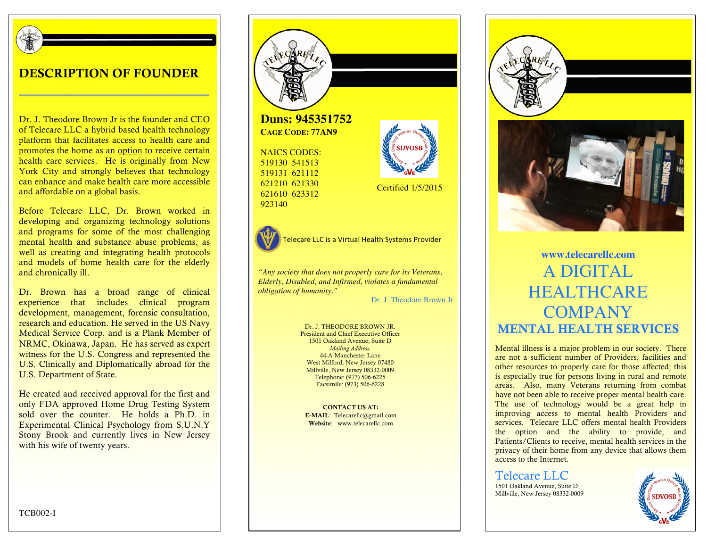

#### DESCRIPTION OF FOUNDER

Dr. J. Theodore Brown Jr is the founder and CEO of Telecare LLC a hybrid based health technology platform that facilitates access to health care and promotes the home as an option to receive certain health care services. He is originally from New York City and strongly believes that technology can enhance and make health care more accessible and affordable on a global basis.

Before Telecare LLC, Dr. Brown worked in developing and organizing technology solutions and programs for some of the most challenging mental health and substance abuse problems, as well as creating and integrating health protocols and models of home health care for the elderly and chronically ill.

Dr. Brown has a broad range of clinical experience that includes clinical program development, management, forensic consultation, research and education. He served in the US Navy Medical Service Corp. and is a Plank Member of NRMC, Okinawa, Japan. He has served as expert witness for the U.S. Congress and represented the U.S. Clinically and Diplomatically abroad for the U.S. Department of State.

He created and received approval for the first and only FDA approved Home Drug Testing System sold over the counter. He holds a Ph.D. in Experimental Clinical Psychology from S.U.N.Y Stony Brook and currently lives in New Jersey with his wife of twenty years.



**Duns: 945351752 CAGE CODE: 77AN9**

NAICS CODES: 519130 541513 519131 621112 621210 621330 621610 623312 923140



Telecare LLC is a Virtual Health Systems Provider

*"Any society that does not properly care for its Veterans, Elderly, Disabled, and Infirmed, violates a fundamental obligation of humanity."*

Dr. J. Theodore Brown Jr

Certified 1/5/2015

Dr. J. THEODORE BROWN JR. President and Chief Executive Officer 1501 Oakland Avenue, Suite D *Mailing Address:* 44-A Manchester Lane West Milford, New Jersey 07480 Millville, New Jersey 08332-0009 Telephone: (973) 506-6225 Facsimile: (973) 506-6228

CONTACT US AT: E-MAIL: Telecarellc@gmail.com Website: www.telecarellc.com





# **www.telecarellc.com** A DIGITAL **HEALTHCARE COMPANY** MENTAL HEALTH SERVICES

Mental illness is a major problem in our society. There are not a sufficient number of Providers, facilities and other resources to properly care for those affected; this is especially true for persons living in rural and remote areas. Also, many Veterans returning from combat have not been able to receive proper mental health care. The use of technology would be a great help in improving access to mental health Providers and services. Telecare LLC offers mental health Providers the option and the ability to provide, and Patients/Clients to receive, mental health services in the privacy of their home from any device that allows them access to the Internet.

Telecare LLC 1501 Oakland Avenue, Suite D Millville, New Jersey 08332-0009



TCB002-I